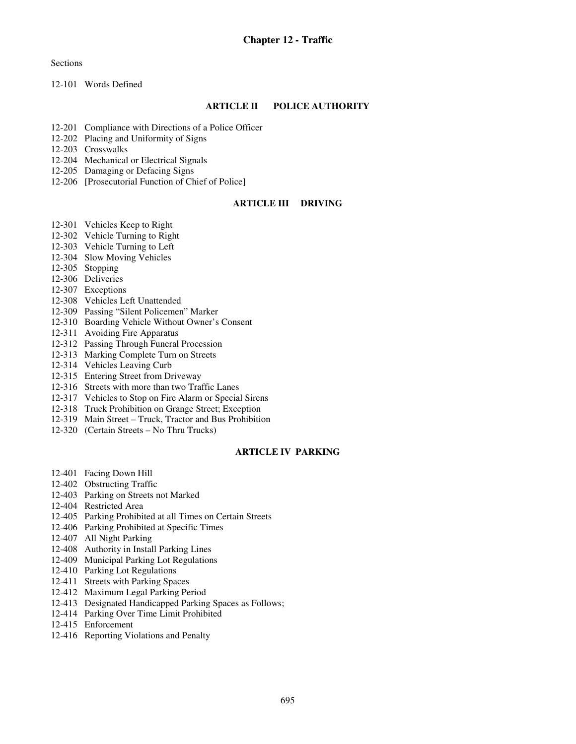**Sections** 

12-101 Words Defined

## **ARTICLE II POLICE AUTHORITY**

- 12-201 Compliance with Directions of a Police Officer
- 12-202 Placing and Uniformity of Signs
- 12-203 Crosswalks
- 12-204 Mechanical or Electrical Signals
- 12-205 Damaging or Defacing Signs
- 12-206 [Prosecutorial Function of Chief of Police]

### **ARTICLE III DRIVING**

- 12-301 Vehicles Keep to Right
- 12-302 Vehicle Turning to Right
- 12-303 Vehicle Turning to Left
- 12-304 Slow Moving Vehicles
- 12-305 Stopping
- 12-306 Deliveries
- 12-307 Exceptions
- 12-308 Vehicles Left Unattended
- 12-309 Passing "Silent Policemen" Marker
- 12-310 Boarding Vehicle Without Owner's Consent
- 12-311 Avoiding Fire Apparatus
- 12-312 Passing Through Funeral Procession
- 12-313 Marking Complete Turn on Streets
- 12-314 Vehicles Leaving Curb
- 12-315 Entering Street from Driveway
- 12-316 Streets with more than two Traffic Lanes
- 12-317 Vehicles to Stop on Fire Alarm or Special Sirens
- 12-318 Truck Prohibition on Grange Street; Exception
- 12-319 Main Street Truck, Tractor and Bus Prohibition
- 12-320 (Certain Streets No Thru Trucks)

## **ARTICLE IV PARKING**

- 12-401 Facing Down Hill
- 12-402 Obstructing Traffic
- 12-403 Parking on Streets not Marked
- 12-404 Restricted Area
- 12-405 Parking Prohibited at all Times on Certain Streets
- 12-406 Parking Prohibited at Specific Times
- 12-407 All Night Parking
- 12-408 Authority in Install Parking Lines
- 12-409 Municipal Parking Lot Regulations
- 12-410 Parking Lot Regulations
- 12-411 Streets with Parking Spaces
- 12-412 Maximum Legal Parking Period
- 12-413 Designated Handicapped Parking Spaces as Follows;
- 12-414 Parking Over Time Limit Prohibited
- 12-415 Enforcement
- 12-416 Reporting Violations and Penalty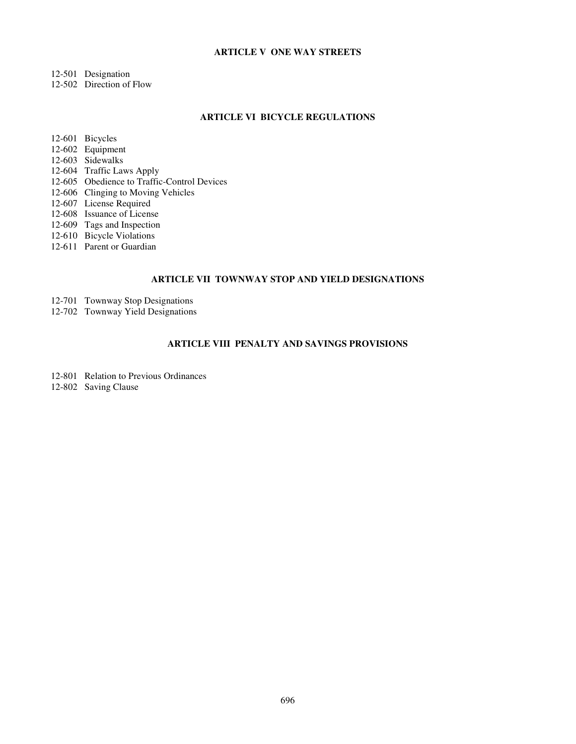## **ARTICLE V ONE WAY STREETS**

- 12-501 Designation
- 12-502 Direction of Flow

#### **ARTICLE VI BICYCLE REGULATIONS**

12-601 Bicycles

- 12-602 Equipment
- 12-603 Sidewalks
- 12-604 Traffic Laws Apply
- 12-605 Obedience to Traffic-Control Devices
- 12-606 Clinging to Moving Vehicles
- 12-607 License Required
- 12-608 Issuance of License
- 12-609 Tags and Inspection
- 12-610 Bicycle Violations
- 12-611 Parent or Guardian

# **ARTICLE VII TOWNWAY STOP AND YIELD DESIGNATIONS**

- 12-701 Townway Stop Designations
- 12-702 Townway Yield Designations

# **ARTICLE VIII PENALTY AND SAVINGS PROVISIONS**

- 12-801 Relation to Previous Ordinances
- 12-802 Saving Clause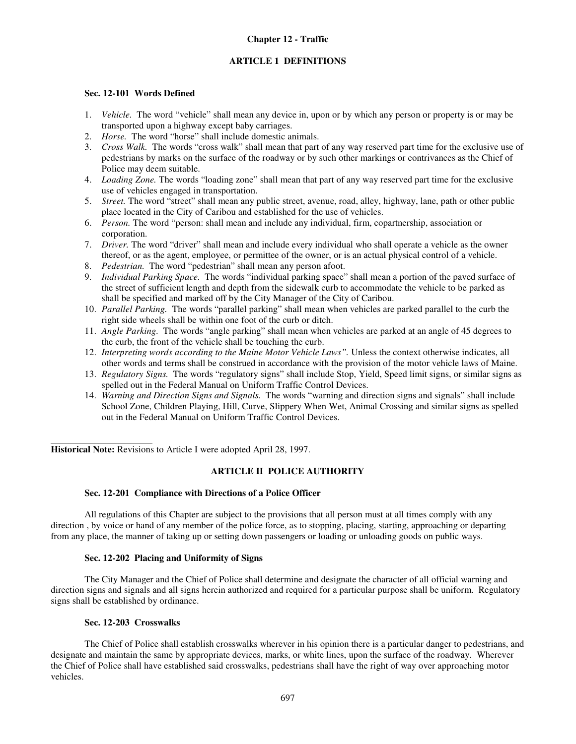## **Chapter 12 - Traffic**

## **ARTICLE 1 DEFINITIONS**

## **Sec. 12-101 Words Defined**

- 1. *Vehicle.* The word "vehicle" shall mean any device in, upon or by which any person or property is or may be transported upon a highway except baby carriages.
- 2. *Horse.* The word "horse" shall include domestic animals.
- 3. *Cross Walk.* The words "cross walk" shall mean that part of any way reserved part time for the exclusive use of pedestrians by marks on the surface of the roadway or by such other markings or contrivances as the Chief of Police may deem suitable.
- 4. *Loading Zone.* The words "loading zone" shall mean that part of any way reserved part time for the exclusive use of vehicles engaged in transportation.
- 5. *Street.* The word "street" shall mean any public street, avenue, road, alley, highway, lane, path or other public place located in the City of Caribou and established for the use of vehicles.
- 6. *Person.* The word "person: shall mean and include any individual, firm, copartnership, association or corporation.
- 7. *Driver.* The word "driver" shall mean and include every individual who shall operate a vehicle as the owner thereof, or as the agent, employee, or permittee of the owner, or is an actual physical control of a vehicle.
- 8. *Pedestrian.* The word "pedestrian" shall mean any person afoot.
- 9. *Individual Parking Space.* The words "individual parking space" shall mean a portion of the paved surface of the street of sufficient length and depth from the sidewalk curb to accommodate the vehicle to be parked as shall be specified and marked off by the City Manager of the City of Caribou.
- 10. *Parallel Parking.* The words "parallel parking" shall mean when vehicles are parked parallel to the curb the right side wheels shall be within one foot of the curb or ditch.
- 11. *Angle Parking.* The words "angle parking" shall mean when vehicles are parked at an angle of 45 degrees to the curb, the front of the vehicle shall be touching the curb.
- 12. *Interpreting words according to the Maine Motor Vehicle Laws".* Unless the context otherwise indicates, all other words and terms shall be construed in accordance with the provision of the motor vehicle laws of Maine.
- 13. *Regulatory Signs.* The words "regulatory signs" shall include Stop, Yield, Speed limit signs, or similar signs as spelled out in the Federal Manual on Uniform Traffic Control Devices.
- 14. *Warning and Direction Signs and Signals.* The words "warning and direction signs and signals" shall include School Zone, Children Playing, Hill, Curve, Slippery When Wet, Animal Crossing and similar signs as spelled out in the Federal Manual on Uniform Traffic Control Devices.

**Historical Note:** Revisions to Article I were adopted April 28, 1997.

### **ARTICLE II POLICE AUTHORITY**

### **Sec. 12-201 Compliance with Directions of a Police Officer**

 All regulations of this Chapter are subject to the provisions that all person must at all times comply with any direction , by voice or hand of any member of the police force, as to stopping, placing, starting, approaching or departing from any place, the manner of taking up or setting down passengers or loading or unloading goods on public ways.

## **Sec. 12-202 Placing and Uniformity of Signs**

The City Manager and the Chief of Police shall determine and designate the character of all official warning and direction signs and signals and all signs herein authorized and required for a particular purpose shall be uniform. Regulatory signs shall be established by ordinance.

### **Sec. 12-203 Crosswalks**

 $\overline{a}$ 

The Chief of Police shall establish crosswalks wherever in his opinion there is a particular danger to pedestrians, and designate and maintain the same by appropriate devices, marks, or white lines, upon the surface of the roadway. Wherever the Chief of Police shall have established said crosswalks, pedestrians shall have the right of way over approaching motor vehicles.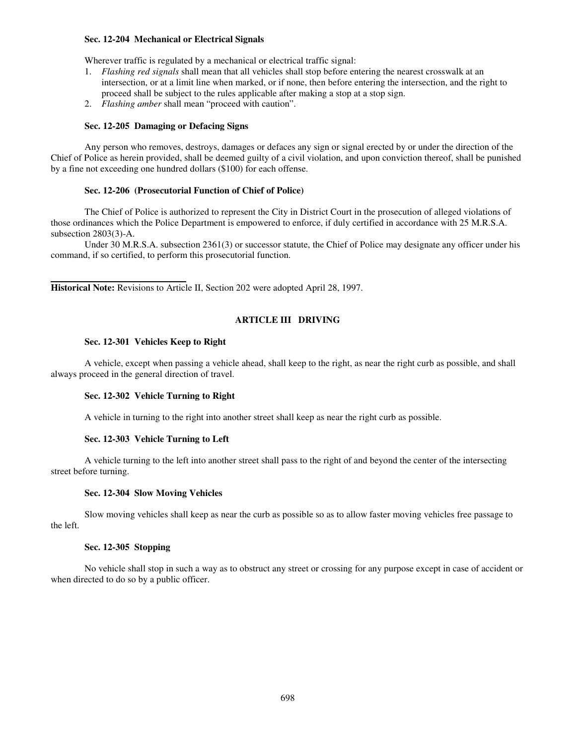### **Sec. 12-204 Mechanical or Electrical Signals**

Wherever traffic is regulated by a mechanical or electrical traffic signal:

- 1. *Flashing red signals* shall mean that all vehicles shall stop before entering the nearest crosswalk at an intersection, or at a limit line when marked, or if none, then before entering the intersection, and the right to proceed shall be subject to the rules applicable after making a stop at a stop sign.
- 2. *Flashing amber* shall mean "proceed with caution".

### **Sec. 12-205 Damaging or Defacing Signs**

Any person who removes, destroys, damages or defaces any sign or signal erected by or under the direction of the Chief of Police as herein provided, shall be deemed guilty of a civil violation, and upon conviction thereof, shall be punished by a fine not exceeding one hundred dollars (\$100) for each offense.

### **Sec. 12-206 (Prosecutorial Function of Chief of Police)**

The Chief of Police is authorized to represent the City in District Court in the prosecution of alleged violations of those ordinances which the Police Department is empowered to enforce, if duly certified in accordance with 25 M.R.S.A. subsection 2803(3)-A.

 Under 30 M.R.S.A. subsection 2361(3) or successor statute, the Chief of Police may designate any officer under his command, if so certified, to perform this prosecutorial function.

**Historical Note:** Revisions to Article II, Section 202 were adopted April 28, 1997.

# **ARTICLE III DRIVING**

### **Sec. 12-301 Vehicles Keep to Right**

A vehicle, except when passing a vehicle ahead, shall keep to the right, as near the right curb as possible, and shall always proceed in the general direction of travel.

### **Sec. 12-302 Vehicle Turning to Right**

A vehicle in turning to the right into another street shall keep as near the right curb as possible.

## **Sec. 12-303 Vehicle Turning to Left**

A vehicle turning to the left into another street shall pass to the right of and beyond the center of the intersecting street before turning.

### **Sec. 12-304 Slow Moving Vehicles**

Slow moving vehicles shall keep as near the curb as possible so as to allow faster moving vehicles free passage to the left.

## **Sec. 12-305 Stopping**

No vehicle shall stop in such a way as to obstruct any street or crossing for any purpose except in case of accident or when directed to do so by a public officer.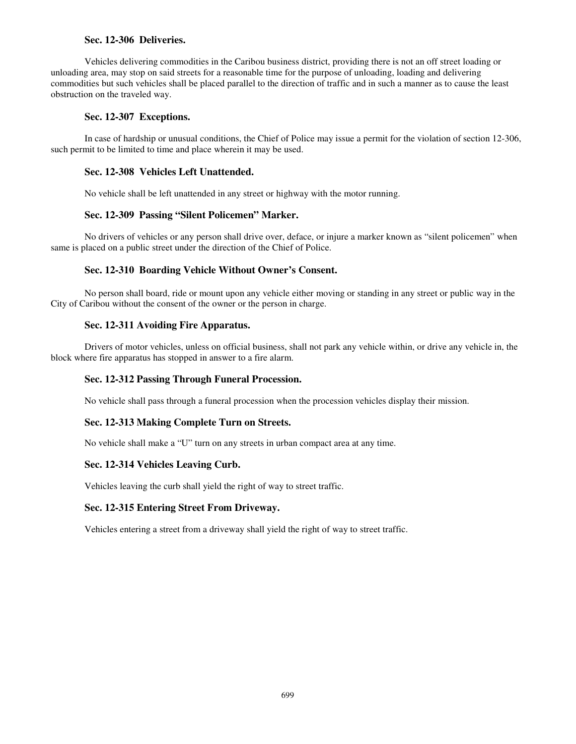## **Sec. 12-306 Deliveries.**

Vehicles delivering commodities in the Caribou business district, providing there is not an off street loading or unloading area, may stop on said streets for a reasonable time for the purpose of unloading, loading and delivering commodities but such vehicles shall be placed parallel to the direction of traffic and in such a manner as to cause the least obstruction on the traveled way.

## **Sec. 12-307 Exceptions.**

In case of hardship or unusual conditions, the Chief of Police may issue a permit for the violation of section 12-306, such permit to be limited to time and place wherein it may be used.

## **Sec. 12-308 Vehicles Left Unattended.**

No vehicle shall be left unattended in any street or highway with the motor running.

# **Sec. 12-309 Passing "Silent Policemen" Marker.**

No drivers of vehicles or any person shall drive over, deface, or injure a marker known as "silent policemen" when same is placed on a public street under the direction of the Chief of Police.

# **Sec. 12-310 Boarding Vehicle Without Owner's Consent.**

No person shall board, ride or mount upon any vehicle either moving or standing in any street or public way in the City of Caribou without the consent of the owner or the person in charge.

# **Sec. 12-311 Avoiding Fire Apparatus.**

Drivers of motor vehicles, unless on official business, shall not park any vehicle within, or drive any vehicle in, the block where fire apparatus has stopped in answer to a fire alarm.

## **Sec. 12-312 Passing Through Funeral Procession.**

No vehicle shall pass through a funeral procession when the procession vehicles display their mission.

## **Sec. 12-313 Making Complete Turn on Streets.**

No vehicle shall make a "U" turn on any streets in urban compact area at any time.

# **Sec. 12-314 Vehicles Leaving Curb.**

Vehicles leaving the curb shall yield the right of way to street traffic.

## **Sec. 12-315 Entering Street From Driveway.**

Vehicles entering a street from a driveway shall yield the right of way to street traffic.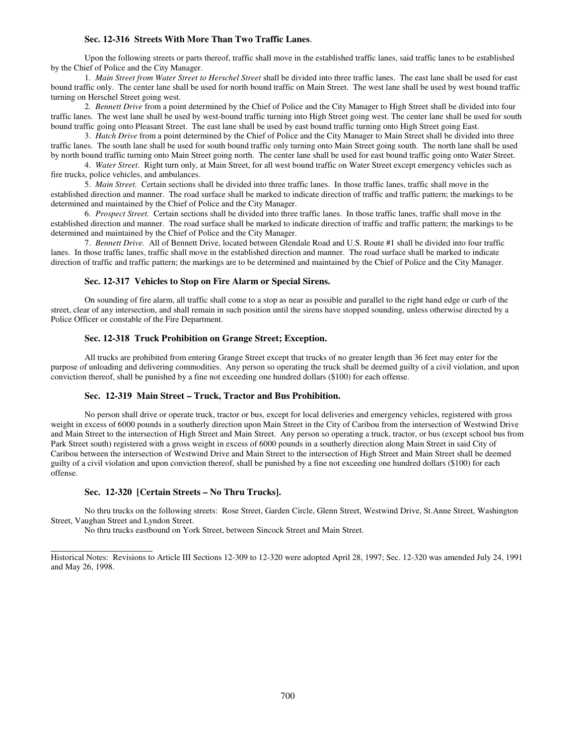### **Sec. 12-316 Streets With More Than Two Traffic Lanes**.

Upon the following streets or parts thereof, traffic shall move in the established traffic lanes, said traffic lanes to be established by the Chief of Police and the City Manager.

1*. Main Street from Water Street to Herschel Street* shall be divided into three traffic lanes. The east lane shall be used for east bound traffic only. The center lane shall be used for north bound traffic on Main Street. The west lane shall be used by west bound traffic turning on Herschel Street going west.

2*. Bennett Drive* from a point determined by the Chief of Police and the City Manager to High Street shall be divided into four traffic lanes. The west lane shall be used by west-bound traffic turning into High Street going west. The center lane shall be used for south bound traffic going onto Pleasant Street. The east lane shall be used by east bound traffic turning onto High Street going East.

 3. *Hatch Drive* from a point determined by the Chief of Police and the City Manager to Main Street shall be divided into three traffic lanes. The south lane shall be used for south bound traffic only turning onto Main Street going south. The north lane shall be used by north bound traffic turning onto Main Street going north. The center lane shall be used for east bound traffic going onto Water Street.

 4. *Water Street.* Right turn only, at Main Street, for all west bound traffic on Water Street except emergency vehicles such as fire trucks, police vehicles, and ambulances.

 5. *Main Street.* Certain sections shall be divided into three traffic lanes. In those traffic lanes, traffic shall move in the established direction and manner. The road surface shall be marked to indicate direction of traffic and traffic pattern; the markings to be determined and maintained by the Chief of Police and the City Manager.

 6. *Prospect Street.* Certain sections shall be divided into three traffic lanes. In those traffic lanes, traffic shall move in the established direction and manner. The road surface shall be marked to indicate direction of traffic and traffic pattern; the markings to be determined and maintained by the Chief of Police and the City Manager.

7. *Bennett Drive.* All of Bennett Drive, located between Glendale Road and U.S. Route #1 shall be divided into four traffic lanes. In those traffic lanes, traffic shall move in the established direction and manner. The road surface shall be marked to indicate direction of traffic and traffic pattern; the markings are to be determined and maintained by the Chief of Police and the City Manager.

### **Sec. 12-317 Vehicles to Stop on Fire Alarm or Special Sirens.**

On sounding of fire alarm, all traffic shall come to a stop as near as possible and parallel to the right hand edge or curb of the street, clear of any intersection, and shall remain in such position until the sirens have stopped sounding, unless otherwise directed by a Police Officer or constable of the Fire Department.

### **Sec. 12-318 Truck Prohibition on Grange Street; Exception.**

All trucks are prohibited from entering Grange Street except that trucks of no greater length than 36 feet may enter for the purpose of unloading and delivering commodities. Any person so operating the truck shall be deemed guilty of a civil violation, and upon conviction thereof, shall be punished by a fine not exceeding one hundred dollars (\$100) for each offense.

### **Sec. 12-319 Main Street – Truck, Tractor and Bus Prohibition.**

No person shall drive or operate truck, tractor or bus, except for local deliveries and emergency vehicles, registered with gross weight in excess of 6000 pounds in a southerly direction upon Main Street in the City of Caribou from the intersection of Westwind Drive and Main Street to the intersection of High Street and Main Street. Any person so operating a truck, tractor, or bus (except school bus from Park Street south) registered with a gross weight in excess of 6000 pounds in a southerly direction along Main Street in said City of Caribou between the intersection of Westwind Drive and Main Street to the intersection of High Street and Main Street shall be deemed guilty of a civil violation and upon conviction thereof, shall be punished by a fine not exceeding one hundred dollars (\$100) for each offense.

#### **Sec. 12-320 [Certain Streets – No Thru Trucks].**

 $\overline{a}$ 

No thru trucks on the following streets: Rose Street, Garden Circle, Glenn Street, Westwind Drive, St.Anne Street, Washington Street, Vaughan Street and Lyndon Street.

No thru trucks eastbound on York Street, between Sincock Street and Main Street.

Historical Notes: Revisions to Article III Sections 12-309 to 12-320 were adopted April 28, 1997; Sec. 12-320 was amended July 24, 1991 and May 26, 1998.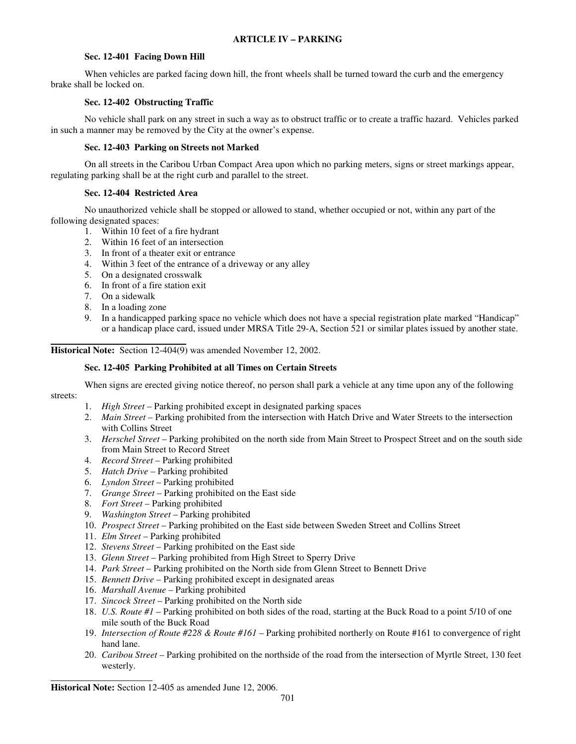## **Sec. 12-401 Facing Down Hill**

When vehicles are parked facing down hill, the front wheels shall be turned toward the curb and the emergency brake shall be locked on.

## **Sec. 12-402 Obstructing Traffic**

No vehicle shall park on any street in such a way as to obstruct traffic or to create a traffic hazard. Vehicles parked in such a manner may be removed by the City at the owner's expense.

# **Sec. 12-403 Parking on Streets not Marked**

On all streets in the Caribou Urban Compact Area upon which no parking meters, signs or street markings appear, regulating parking shall be at the right curb and parallel to the street.

# **Sec. 12-404 Restricted Area**

No unauthorized vehicle shall be stopped or allowed to stand, whether occupied or not, within any part of the following designated spaces:

- 1. Within 10 feet of a fire hydrant
- 2. Within 16 feet of an intersection
- 3. In front of a theater exit or entrance
- 4. Within 3 feet of the entrance of a driveway or any alley
- 5. On a designated crosswalk
- 6. In front of a fire station exit
- 7. On a sidewalk
- 8. In a loading zone
- 9. In a handicapped parking space no vehicle which does not have a special registration plate marked "Handicap" or a handicap place card, issued under MRSA Title 29-A, Section 521 or similar plates issued by another state.

 **Historical Note:** Section 12-404(9) was amended November 12, 2002.

# **Sec. 12-405 Parking Prohibited at all Times on Certain Streets**

 When signs are erected giving notice thereof, no person shall park a vehicle at any time upon any of the following streets:

- 1. *High Street* Parking prohibited except in designated parking spaces
- 2. *Main Street* Parking prohibited from the intersection with Hatch Drive and Water Streets to the intersection with Collins Street
- 3. *Herschel Street* Parking prohibited on the north side from Main Street to Prospect Street and on the south side from Main Street to Record Street
- 4. *Record Street* Parking prohibited
- 5. *Hatch Drive* Parking prohibited
- 6. *Lyndon Street* Parking prohibited
- 7. *Grange Street* Parking prohibited on the East side
- 8. *Fort Street* Parking prohibited
- 9. *Washington Street*  Parking prohibited
- 10. *Prospect Street* Parking prohibited on the East side between Sweden Street and Collins Street
- 11. *Elm Street* Parking prohibited
- 12. *Stevens Street* Parking prohibited on the East side
- 13. *Glenn Street* Parking prohibited from High Street to Sperry Drive
- 14. *Park Street* Parking prohibited on the North side from Glenn Street to Bennett Drive
- 15. *Bennett Drive* Parking prohibited except in designated areas
- 16. *Marshall Avenue* Parking prohibited
- 17. *Sincock Street* Parking prohibited on the North side
- 18. *U.S. Route #1* Parking prohibited on both sides of the road, starting at the Buck Road to a point 5/10 of one mile south of the Buck Road
- 19. *Intersection of Route #228 & Route #161*  Parking prohibited northerly on Route #161 to convergence of right hand lane.
- 20. *Caribou Street*  Parking prohibited on the northside of the road from the intersection of Myrtle Street, 130 feet westerly.

**Historical Note:** Section 12-405 as amended June 12, 2006.

 $\overline{a}$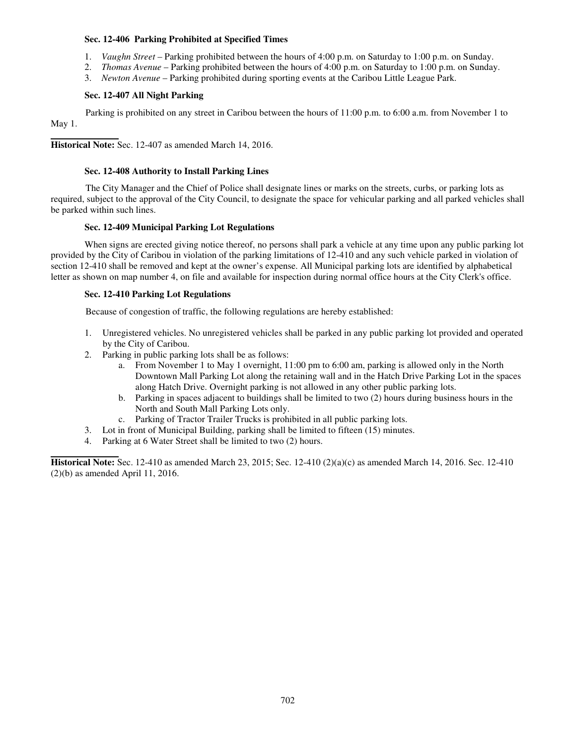### **Sec. 12-406 Parking Prohibited at Specified Times**

- 1. *Vaughn Street* Parking prohibited between the hours of 4:00 p.m. on Saturday to 1:00 p.m. on Sunday.
- 2. *Thomas Avenue* Parking prohibited between the hours of 4:00 p.m. on Saturday to 1:00 p.m. on Sunday.
- 3. *Newton Avenue* Parking prohibited during sporting events at the Caribou Little League Park.

### **Sec. 12-407 All Night Parking**

 Parking is prohibited on any street in Caribou between the hours of 11:00 p.m. to 6:00 a.m. from November 1 to May 1.

 **Historical Note:** Sec. 12-407 as amended March 14, 2016.

## **Sec. 12-408 Authority to Install Parking Lines**

 The City Manager and the Chief of Police shall designate lines or marks on the streets, curbs, or parking lots as required, subject to the approval of the City Council, to designate the space for vehicular parking and all parked vehicles shall be parked within such lines.

## **Sec. 12-409 Municipal Parking Lot Regulations**

When signs are erected giving notice thereof, no persons shall park a vehicle at any time upon any public parking lot provided by the City of Caribou in violation of the parking limitations of 12-410 and any such vehicle parked in violation of section 12-410 shall be removed and kept at the owner's expense. All Municipal parking lots are identified by alphabetical letter as shown on map number 4, on file and available for inspection during normal office hours at the City Clerk's office.

## **Sec. 12-410 Parking Lot Regulations**

Because of congestion of traffic, the following regulations are hereby established:

- 1. Unregistered vehicles. No unregistered vehicles shall be parked in any public parking lot provided and operated by the City of Caribou.
- 2. Parking in public parking lots shall be as follows:
	- a. From November 1 to May 1 overnight, 11:00 pm to 6:00 am, parking is allowed only in the North Downtown Mall Parking Lot along the retaining wall and in the Hatch Drive Parking Lot in the spaces along Hatch Drive. Overnight parking is not allowed in any other public parking lots.
	- b. Parking in spaces adjacent to buildings shall be limited to two (2) hours during business hours in the North and South Mall Parking Lots only.
	- c. Parking of Tractor Trailer Trucks is prohibited in all public parking lots.
- 3. Lot in front of Municipal Building, parking shall be limited to fifteen (15) minutes.
- 4. Parking at 6 Water Street shall be limited to two (2) hours.

**Historical Note:** Sec. 12-410 as amended March 23, 2015; Sec. 12-410 (2)(a)(c) as amended March 14, 2016. Sec. 12-410 (2)(b) as amended April 11, 2016.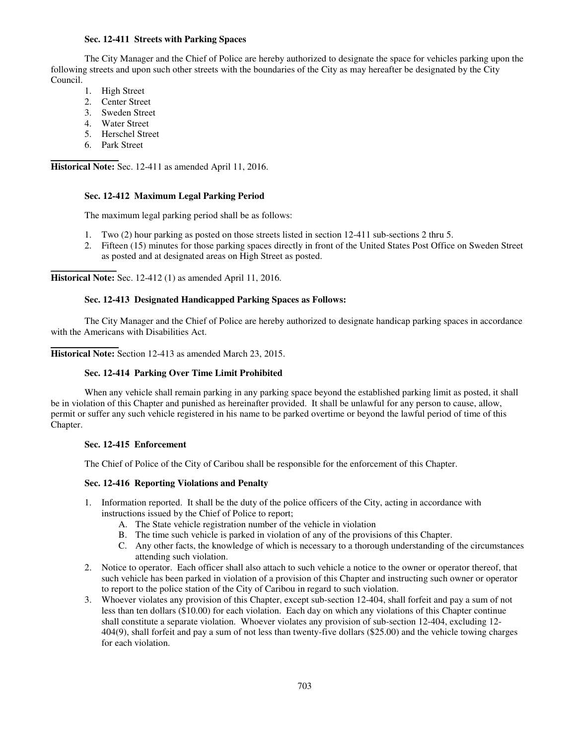### **Sec. 12-411 Streets with Parking Spaces**

The City Manager and the Chief of Police are hereby authorized to designate the space for vehicles parking upon the following streets and upon such other streets with the boundaries of the City as may hereafter be designated by the City Council.

- 1. High Street
- 2. Center Street
- 3. Sweden Street
- 4. Water Street
- 5. Herschel Street
- 6. Park Street

\_\_\_\_\_\_\_\_\_\_\_\_\_\_

 **Historical Note:** Sec. 12-411 as amended April 11, 2016.

### **Sec. 12-412 Maximum Legal Parking Period**

The maximum legal parking period shall be as follows:

- 1. Two (2) hour parking as posted on those streets listed in section 12-411 sub-sections 2 thru 5.
- 2. Fifteen (15) minutes for those parking spaces directly in front of the United States Post Office on Sweden Street as posted and at designated areas on High Street as posted.

**Historical Note:** Sec. 12-412 (1) as amended April 11, 2016.

### **Sec. 12-413 Designated Handicapped Parking Spaces as Follows:**

The City Manager and the Chief of Police are hereby authorized to designate handicap parking spaces in accordance with the Americans with Disabilities Act.

 **Historical Note:** Section 12-413 as amended March 23, 2015.

### **Sec. 12-414 Parking Over Time Limit Prohibited**

 When any vehicle shall remain parking in any parking space beyond the established parking limit as posted, it shall be in violation of this Chapter and punished as hereinafter provided. It shall be unlawful for any person to cause, allow, permit or suffer any such vehicle registered in his name to be parked overtime or beyond the lawful period of time of this Chapter.

### **Sec. 12-415 Enforcement**

The Chief of Police of the City of Caribou shall be responsible for the enforcement of this Chapter.

## **Sec. 12-416 Reporting Violations and Penalty**

- 1. Information reported. It shall be the duty of the police officers of the City, acting in accordance with instructions issued by the Chief of Police to report;
	- A. The State vehicle registration number of the vehicle in violation
	- B. The time such vehicle is parked in violation of any of the provisions of this Chapter.
	- C. Any other facts, the knowledge of which is necessary to a thorough understanding of the circumstances attending such violation.
- 2. Notice to operator. Each officer shall also attach to such vehicle a notice to the owner or operator thereof, that such vehicle has been parked in violation of a provision of this Chapter and instructing such owner or operator to report to the police station of the City of Caribou in regard to such violation.
- 3. Whoever violates any provision of this Chapter, except sub-section 12-404, shall forfeit and pay a sum of not less than ten dollars (\$10.00) for each violation. Each day on which any violations of this Chapter continue shall constitute a separate violation. Whoever violates any provision of sub-section 12-404, excluding 12- 404(9), shall forfeit and pay a sum of not less than twenty-five dollars (\$25.00) and the vehicle towing charges for each violation.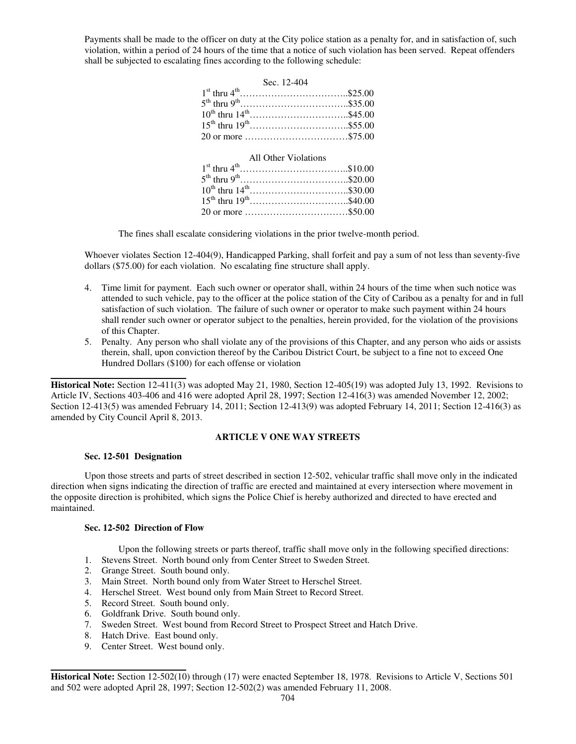Payments shall be made to the officer on duty at the City police station as a penalty for, and in satisfaction of, such violation, within a period of 24 hours of the time that a notice of such violation has been served. Repeat offenders shall be subjected to escalating fines according to the following schedule:

| Sec. 12-404                      |  |
|----------------------------------|--|
|                                  |  |
|                                  |  |
| $10^{th}$ thru $14^{th}$ \$45.00 |  |
|                                  |  |
| 20 or more \$75.00               |  |
|                                  |  |
| All Other Violations             |  |
|                                  |  |
|                                  |  |
| $10^{th}$ thru $14^{th}$ \$30.00 |  |
| $15^{th}$ thru $19^{th}$ \$40.00 |  |
|                                  |  |

The fines shall escalate considering violations in the prior twelve-month period.

Whoever violates Section 12-404(9), Handicapped Parking, shall forfeit and pay a sum of not less than seventy-five dollars (\$75.00) for each violation. No escalating fine structure shall apply.

- 4. Time limit for payment. Each such owner or operator shall, within 24 hours of the time when such notice was attended to such vehicle, pay to the officer at the police station of the City of Caribou as a penalty for and in full satisfaction of such violation. The failure of such owner or operator to make such payment within 24 hours shall render such owner or operator subject to the penalties, herein provided, for the violation of the provisions of this Chapter.
- 5. Penalty. Any person who shall violate any of the provisions of this Chapter, and any person who aids or assists therein, shall, upon conviction thereof by the Caribou District Court, be subject to a fine not to exceed One Hundred Dollars (\$100) for each offense or violation

**Historical Note:** Section 12-411(3) was adopted May 21, 1980, Section 12-405(19) was adopted July 13, 1992. Revisions to Article IV, Sections 403-406 and 416 were adopted April 28, 1997; Section 12-416(3) was amended November 12, 2002; Section 12-413(5) was amended February 14, 2011; Section 12-413(9) was adopted February 14, 2011; Section 12-416(3) as amended by City Council April 8, 2013.

### **ARTICLE V ONE WAY STREETS**

#### **Sec. 12-501 Designation**

Upon those streets and parts of street described in section 12-502, vehicular traffic shall move only in the indicated direction when signs indicating the direction of traffic are erected and maintained at every intersection where movement in the opposite direction is prohibited, which signs the Police Chief is hereby authorized and directed to have erected and maintained.

### **Sec. 12-502 Direction of Flow**

Upon the following streets or parts thereof, traffic shall move only in the following specified directions:

- 1. Stevens Street. North bound only from Center Street to Sweden Street.
- 2. Grange Street. South bound only.
- 3. Main Street. North bound only from Water Street to Herschel Street.
- 4. Herschel Street. West bound only from Main Street to Record Street.
- 5. Record Street. South bound only.
- 6. Goldfrank Drive. South bound only.
- 7. Sweden Street. West bound from Record Street to Prospect Street and Hatch Drive.
- 8. Hatch Drive. East bound only.
- 9. Center Street. West bound only.

**Historical Note:** Section 12-502(10) through (17) were enacted September 18, 1978. Revisions to Article V, Sections 501 and 502 were adopted April 28, 1997; Section 12-502(2) was amended February 11, 2008.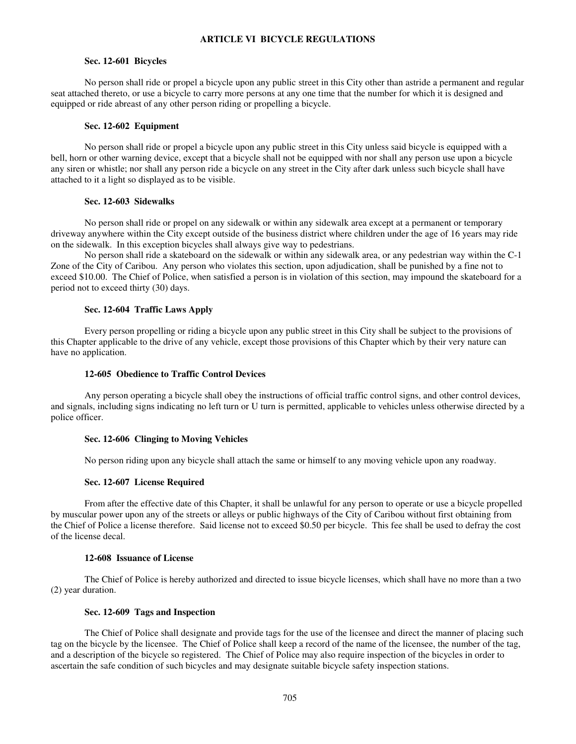### **ARTICLE VI BICYCLE REGULATIONS**

### **Sec. 12-601 Bicycles**

 No person shall ride or propel a bicycle upon any public street in this City other than astride a permanent and regular seat attached thereto, or use a bicycle to carry more persons at any one time that the number for which it is designed and equipped or ride abreast of any other person riding or propelling a bicycle.

#### **Sec. 12-602 Equipment**

No person shall ride or propel a bicycle upon any public street in this City unless said bicycle is equipped with a bell, horn or other warning device, except that a bicycle shall not be equipped with nor shall any person use upon a bicycle any siren or whistle; nor shall any person ride a bicycle on any street in the City after dark unless such bicycle shall have attached to it a light so displayed as to be visible.

#### **Sec. 12-603 Sidewalks**

No person shall ride or propel on any sidewalk or within any sidewalk area except at a permanent or temporary driveway anywhere within the City except outside of the business district where children under the age of 16 years may ride on the sidewalk. In this exception bicycles shall always give way to pedestrians.

 No person shall ride a skateboard on the sidewalk or within any sidewalk area, or any pedestrian way within the C-1 Zone of the City of Caribou. Any person who violates this section, upon adjudication, shall be punished by a fine not to exceed \$10.00. The Chief of Police, when satisfied a person is in violation of this section, may impound the skateboard for a period not to exceed thirty (30) days.

### **Sec. 12-604 Traffic Laws Apply**

Every person propelling or riding a bicycle upon any public street in this City shall be subject to the provisions of this Chapter applicable to the drive of any vehicle, except those provisions of this Chapter which by their very nature can have no application.

### **12-605 Obedience to Traffic Control Devices**

Any person operating a bicycle shall obey the instructions of official traffic control signs, and other control devices, and signals, including signs indicating no left turn or U turn is permitted, applicable to vehicles unless otherwise directed by a police officer.

### **Sec. 12-606 Clinging to Moving Vehicles**

No person riding upon any bicycle shall attach the same or himself to any moving vehicle upon any roadway.

### **Sec. 12-607 License Required**

From after the effective date of this Chapter, it shall be unlawful for any person to operate or use a bicycle propelled by muscular power upon any of the streets or alleys or public highways of the City of Caribou without first obtaining from the Chief of Police a license therefore. Said license not to exceed \$0.50 per bicycle. This fee shall be used to defray the cost of the license decal.

#### **12-608 Issuance of License**

The Chief of Police is hereby authorized and directed to issue bicycle licenses, which shall have no more than a two (2) year duration.

### **Sec. 12-609 Tags and Inspection**

The Chief of Police shall designate and provide tags for the use of the licensee and direct the manner of placing such tag on the bicycle by the licensee. The Chief of Police shall keep a record of the name of the licensee, the number of the tag, and a description of the bicycle so registered. The Chief of Police may also require inspection of the bicycles in order to ascertain the safe condition of such bicycles and may designate suitable bicycle safety inspection stations.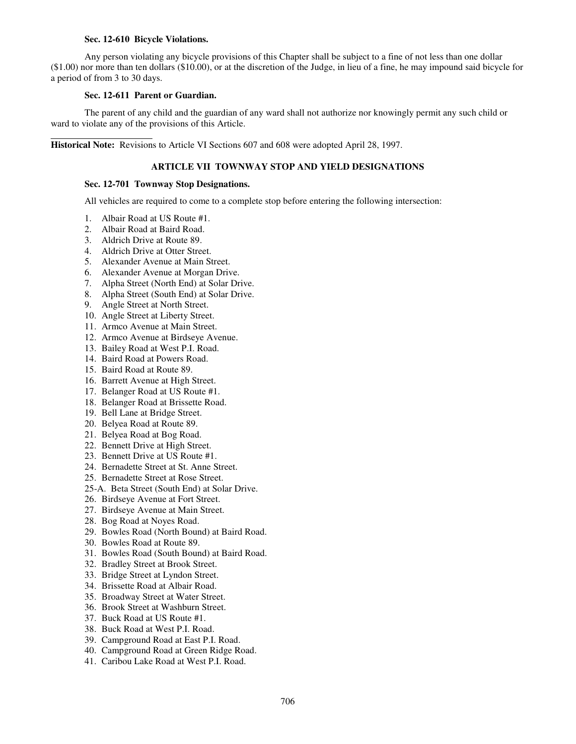### **Sec. 12-610 Bicycle Violations.**

 Any person violating any bicycle provisions of this Chapter shall be subject to a fine of not less than one dollar (\$1.00) nor more than ten dollars (\$10.00), or at the discretion of the Judge, in lieu of a fine, he may impound said bicycle for a period of from 3 to 30 days.

### **Sec. 12-611 Parent or Guardian.**

The parent of any child and the guardian of any ward shall not authorize nor knowingly permit any such child or ward to violate any of the provisions of this Article.

 $\overline{a}$ **Historical Note:** Revisions to Article VI Sections 607 and 608 were adopted April 28, 1997.

## **ARTICLE VII TOWNWAY STOP AND YIELD DESIGNATIONS**

### **Sec. 12-701 Townway Stop Designations.**

All vehicles are required to come to a complete stop before entering the following intersection:

- 1. Albair Road at US Route #1.
- 2. Albair Road at Baird Road.
- 3. Aldrich Drive at Route 89.
- 4. Aldrich Drive at Otter Street.
- 5. Alexander Avenue at Main Street.
- 6. Alexander Avenue at Morgan Drive.
- 7. Alpha Street (North End) at Solar Drive.
- 8. Alpha Street (South End) at Solar Drive.
- 9. Angle Street at North Street.
- 10. Angle Street at Liberty Street.
- 11. Armco Avenue at Main Street.
- 12. Armco Avenue at Birdseye Avenue.
- 13. Bailey Road at West P.I. Road.
- 14. Baird Road at Powers Road.
- 15. Baird Road at Route 89.
- 16. Barrett Avenue at High Street.
- 17. Belanger Road at US Route #1.
- 18. Belanger Road at Brissette Road.
- 19. Bell Lane at Bridge Street.
- 20. Belyea Road at Route 89.
- 21. Belyea Road at Bog Road.
- 22. Bennett Drive at High Street.
- 23. Bennett Drive at US Route #1.
- 24. Bernadette Street at St. Anne Street.
- 25. Bernadette Street at Rose Street.
- 25-A. Beta Street (South End) at Solar Drive.
- 26. Birdseye Avenue at Fort Street.
- 27. Birdseye Avenue at Main Street.
- 28. Bog Road at Noyes Road.
- 29. Bowles Road (North Bound) at Baird Road.
- 30. Bowles Road at Route 89.
- 31. Bowles Road (South Bound) at Baird Road.
- 32. Bradley Street at Brook Street.
- 33. Bridge Street at Lyndon Street.
- 34. Brissette Road at Albair Road.
- 35. Broadway Street at Water Street.
- 36. Brook Street at Washburn Street.
- 37. Buck Road at US Route #1.
- 38. Buck Road at West P.I. Road.
- 39. Campground Road at East P.I. Road.
- 40. Campground Road at Green Ridge Road.
- 41. Caribou Lake Road at West P.I. Road.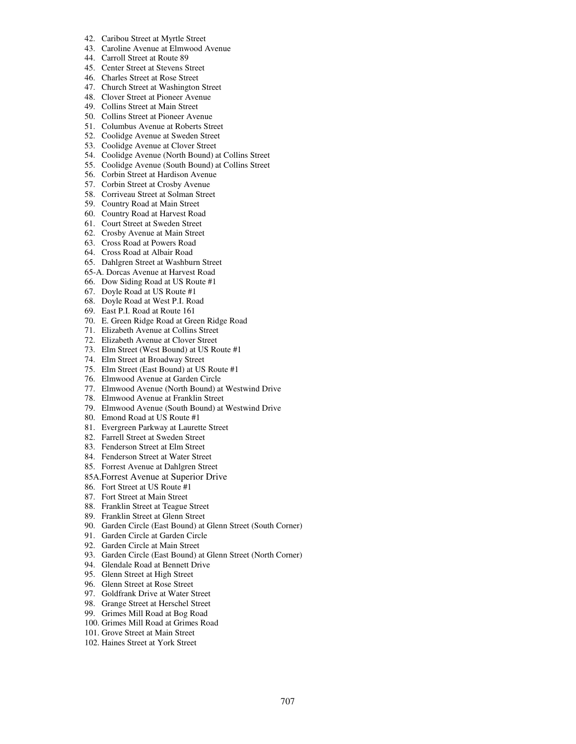- 42. Caribou Street at Myrtle Street
- 43. Caroline Avenue at Elmwood Avenue
- 44. Carroll Street at Route 89
- 45. Center Street at Stevens Street
- 46. Charles Street at Rose Street
- 47. Church Street at Washington Street
- 48. Clover Street at Pioneer Avenue
- 49. Collins Street at Main Street
- 50. Collins Street at Pioneer Avenue
- 51. Columbus Avenue at Roberts Street
- 52. Coolidge Avenue at Sweden Street
- 53. Coolidge Avenue at Clover Street
- 54. Coolidge Avenue (North Bound) at Collins Street
- 55. Coolidge Avenue (South Bound) at Collins Street
- 56. Corbin Street at Hardison Avenue
- 57. Corbin Street at Crosby Avenue 58. Corriveau Street at Solman Street
- 
- 59. Country Road at Main Street
- 60. Country Road at Harvest Road
- 61. Court Street at Sweden Street
- 62. Crosby Avenue at Main Street
- 63. Cross Road at Powers Road
- 64. Cross Road at Albair Road
- 65. Dahlgren Street at Washburn Street
- 65-A. Dorcas Avenue at Harvest Road
- 66. Dow Siding Road at US Route #1
- 67. Doyle Road at US Route #1
- 68. Doyle Road at West P.I. Road
- 69. East P.I. Road at Route 161
- 70. E. Green Ridge Road at Green Ridge Road
- 71. Elizabeth Avenue at Collins Street
- 72. Elizabeth Avenue at Clover Street
- 73. Elm Street (West Bound) at US Route #1
- 74. Elm Street at Broadway Street
- 75. Elm Street (East Bound) at US Route #1
- 76. Elmwood Avenue at Garden Circle
- 77. Elmwood Avenue (North Bound) at Westwind Drive
- 78. Elmwood Avenue at Franklin Street
- 79. Elmwood Avenue (South Bound) at Westwind Drive
- 80. Emond Road at US Route #1
- 81. Evergreen Parkway at Laurette Street
- 82. Farrell Street at Sweden Street
- 83. Fenderson Street at Elm Street
- 84. Fenderson Street at Water Street
- 85. Forrest Avenue at Dahlgren Street
- 85A.Forrest Avenue at Superior Drive
- 86. Fort Street at US Route #1
- 87. Fort Street at Main Street
- 88. Franklin Street at Teague Street
- 89. Franklin Street at Glenn Street
- 90. Garden Circle (East Bound) at Glenn Street (South Corner)
- 91. Garden Circle at Garden Circle
- 92. Garden Circle at Main Street
- 93. Garden Circle (East Bound) at Glenn Street (North Corner)
- 94. Glendale Road at Bennett Drive
- 95. Glenn Street at High Street
- 96. Glenn Street at Rose Street
- 97. Goldfrank Drive at Water Street
- 98. Grange Street at Herschel Street
- 99. Grimes Mill Road at Bog Road
- 100. Grimes Mill Road at Grimes Road
- 101. Grove Street at Main Street
- 102. Haines Street at York Street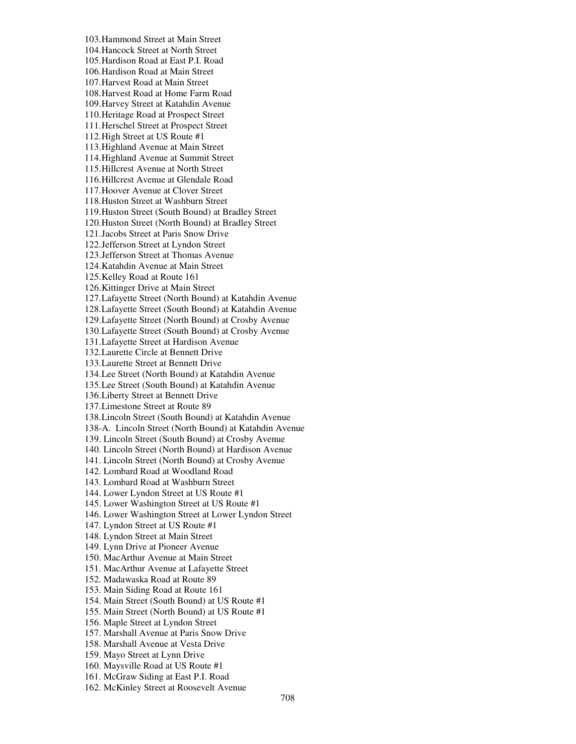103.Hammond Street at Main Street 104.Hancock Street at North Street 105.Hardison Road at East P.I. Road 106.Hardison Road at Main Street 107.Harvest Road at Main Street 108.Harvest Road at Home Farm Road 109.Harvey Street at Katahdin Avenue 110.Heritage Road at Prospect Street 111.Herschel Street at Prospect Street 112.High Street at US Route #1 113.Highland Avenue at Main Street 114.Highland Avenue at Summit Street 115.Hillcrest Avenue at North Street 116.Hillcrest Avenue at Glendale Road 117.Hoover Avenue at Clover Street 118.Huston Street at Washburn Street 119.Huston Street (South Bound) at Bradley Street 120.Huston Street (North Bound) at Bradley Street 121.Jacobs Street at Paris Snow Drive 122.Jefferson Street at Lyndon Street 123.Jefferson Street at Thomas Avenue 124.Katahdin Avenue at Main Street 125.Kelley Road at Route 161 126.Kittinger Drive at Main Street 127.Lafayette Street (North Bound) at Katahdin Avenue 128.Lafayette Street (South Bound) at Katahdin Avenue 129.Lafayette Street (North Bound) at Crosby Avenue 130.Lafayette Street (South Bound) at Crosby Avenue 131.Lafayette Street at Hardison Avenue 132.Laurette Circle at Bennett Drive 133.Laurette Street at Bennett Drive 134.Lee Street (North Bound) at Katahdin Avenue 135.Lee Street (South Bound) at Katahdin Avenue 136.Liberty Street at Bennett Drive 137.Limestone Street at Route 89 138.Lincoln Street (South Bound) at Katahdin Avenue 138-A. Lincoln Street (North Bound) at Katahdin Avenue 139. Lincoln Street (South Bound) at Crosby Avenue 140. Lincoln Street (North Bound) at Hardison Avenue 141. Lincoln Street (North Bound) at Crosby Avenue 142. Lombard Road at Woodland Road 143. Lombard Road at Washburn Street 144. Lower Lyndon Street at US Route #1 145. Lower Washington Street at US Route #1 146. Lower Washington Street at Lower Lyndon Street 147. Lyndon Street at US Route #1 148. Lyndon Street at Main Street 149. Lynn Drive at Pioneer Avenue 150. MacArthur Avenue at Main Street 151. MacArthur Avenue at Lafayette Street 152. Madawaska Road at Route 89 153. Main Siding Road at Route 161 154. Main Street (South Bound) at US Route #1 155. Main Street (North Bound) at US Route #1 156. Maple Street at Lyndon Street 157. Marshall Avenue at Paris Snow Drive 158. Marshall Avenue at Vesta Drive 159. Mayo Street at Lynn Drive 160. Maysville Road at US Route #1 161. McGraw Siding at East P.I. Road 162. McKinley Street at Roosevelt Avenue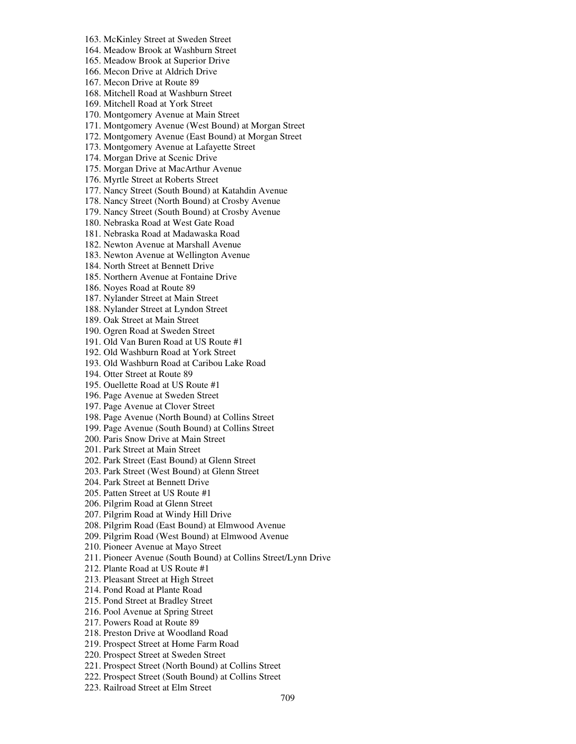164. Meadow Brook at Washburn Street 165. Meadow Brook at Superior Drive 166. Mecon Drive at Aldrich Drive 167. Mecon Drive at Route 89 168. Mitchell Road at Washburn Street 169. Mitchell Road at York Street 170. Montgomery Avenue at Main Street 171. Montgomery Avenue (West Bound) at Morgan Street 172. Montgomery Avenue (East Bound) at Morgan Street 173. Montgomery Avenue at Lafayette Street 174. Morgan Drive at Scenic Drive 175. Morgan Drive at MacArthur Avenue 176. Myrtle Street at Roberts Street 177. Nancy Street (South Bound) at Katahdin Avenue 178. Nancy Street (North Bound) at Crosby Avenue 179. Nancy Street (South Bound) at Crosby Avenue 180. Nebraska Road at West Gate Road 181. Nebraska Road at Madawaska Road 182. Newton Avenue at Marshall Avenue 183. Newton Avenue at Wellington Avenue 184. North Street at Bennett Drive 185. Northern Avenue at Fontaine Drive 186. Noyes Road at Route 89 187. Nylander Street at Main Street 188. Nylander Street at Lyndon Street 189. Oak Street at Main Street 190. Ogren Road at Sweden Street 191. Old Van Buren Road at US Route #1 192. Old Washburn Road at York Street 193. Old Washburn Road at Caribou Lake Road 194. Otter Street at Route 89 195. Ouellette Road at US Route #1 196. Page Avenue at Sweden Street 197. Page Avenue at Clover Street 198. Page Avenue (North Bound) at Collins Street 199. Page Avenue (South Bound) at Collins Street 200. Paris Snow Drive at Main Street 201. Park Street at Main Street 202. Park Street (East Bound) at Glenn Street 203. Park Street (West Bound) at Glenn Street 204. Park Street at Bennett Drive 205. Patten Street at US Route #1 206. Pilgrim Road at Glenn Street 207. Pilgrim Road at Windy Hill Drive 208. Pilgrim Road (East Bound) at Elmwood Avenue 209. Pilgrim Road (West Bound) at Elmwood Avenue 210. Pioneer Avenue at Mayo Street 211. Pioneer Avenue (South Bound) at Collins Street/Lynn Drive 212. Plante Road at US Route #1 213. Pleasant Street at High Street 214. Pond Road at Plante Road 215. Pond Street at Bradley Street 216. Pool Avenue at Spring Street 217. Powers Road at Route 89 218. Preston Drive at Woodland Road 219. Prospect Street at Home Farm Road 220. Prospect Street at Sweden Street 221. Prospect Street (North Bound) at Collins Street 222. Prospect Street (South Bound) at Collins Street

163. McKinley Street at Sweden Street

223. Railroad Street at Elm Street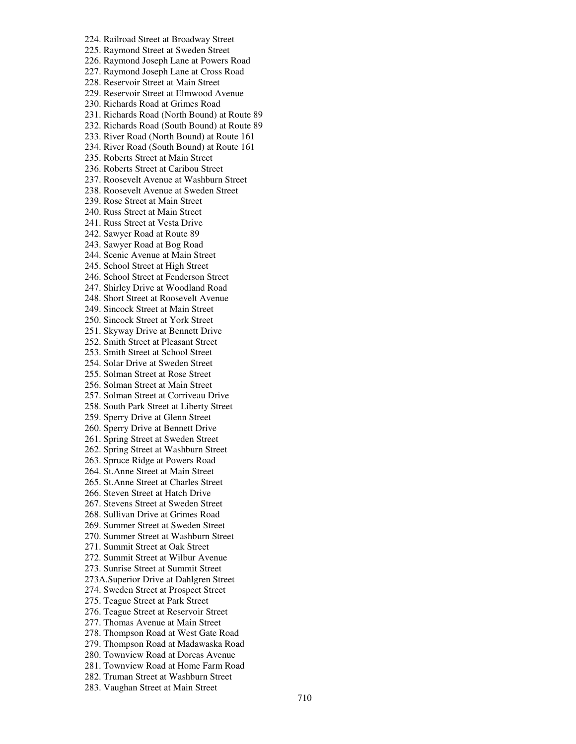224. Railroad Street at Broadway Street 225. Raymond Street at Sweden Street 226. Raymond Joseph Lane at Powers Road 227. Raymond Joseph Lane at Cross Road 228. Reservoir Street at Main Street 229. Reservoir Street at Elmwood Avenue 230. Richards Road at Grimes Road 231. Richards Road (North Bound) at Route 89 232. Richards Road (South Bound) at Route 89 233. River Road (North Bound) at Route 161 234. River Road (South Bound) at Route 161 235. Roberts Street at Main Street 236. Roberts Street at Caribou Street 237. Roosevelt Avenue at Washburn Street 238. Roosevelt Avenue at Sweden Street 239. Rose Street at Main Street 240. Russ Street at Main Street 241. Russ Street at Vesta Drive 242. Sawyer Road at Route 89 243. Sawyer Road at Bog Road 244. Scenic Avenue at Main Street 245. School Street at High Street 246. School Street at Fenderson Street 247. Shirley Drive at Woodland Road 248. Short Street at Roosevelt Avenue 249. Sincock Street at Main Street 250. Sincock Street at York Street 251. Skyway Drive at Bennett Drive 252. Smith Street at Pleasant Street 253. Smith Street at School Street 254. Solar Drive at Sweden Street 255. Solman Street at Rose Street 256. Solman Street at Main Street 257. Solman Street at Corriveau Drive 258. South Park Street at Liberty Street 259. Sperry Drive at Glenn Street 260. Sperry Drive at Bennett Drive 261. Spring Street at Sweden Street 262. Spring Street at Washburn Street 263. Spruce Ridge at Powers Road 264. St.Anne Street at Main Street 265. St.Anne Street at Charles Street 266. Steven Street at Hatch Drive 267. Stevens Street at Sweden Street 268. Sullivan Drive at Grimes Road 269. Summer Street at Sweden Street 270. Summer Street at Washburn Street 271. Summit Street at Oak Street 272. Summit Street at Wilbur Avenue 273. Sunrise Street at Summit Street 273A.Superior Drive at Dahlgren Street 274. Sweden Street at Prospect Street 275. Teague Street at Park Street 276. Teague Street at Reservoir Street 277. Thomas Avenue at Main Street 278. Thompson Road at West Gate Road 279. Thompson Road at Madawaska Road 280. Townview Road at Dorcas Avenue 281. Townview Road at Home Farm Road 282. Truman Street at Washburn Street 283. Vaughan Street at Main Street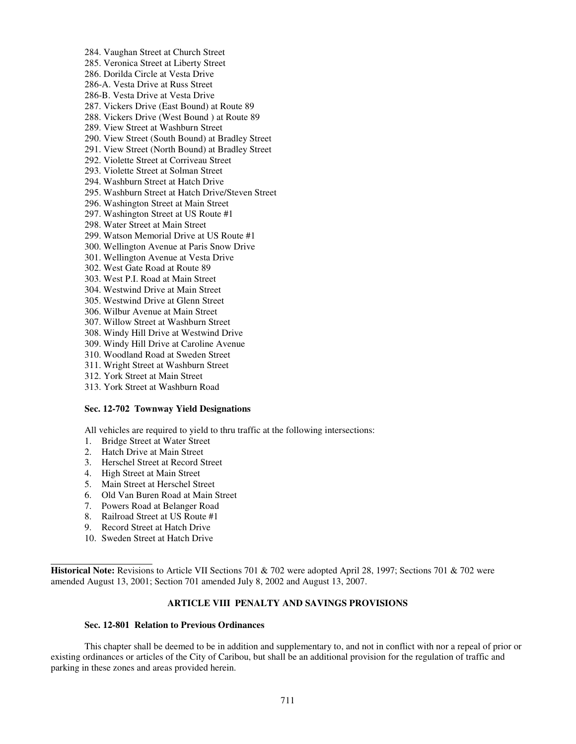284. Vaughan Street at Church Street 285. Veronica Street at Liberty Street 286. Dorilda Circle at Vesta Drive 286-A. Vesta Drive at Russ Street 286-B. Vesta Drive at Vesta Drive 287. Vickers Drive (East Bound) at Route 89 288. Vickers Drive (West Bound ) at Route 89 289. View Street at Washburn Street 290. View Street (South Bound) at Bradley Street 291. View Street (North Bound) at Bradley Street 292. Violette Street at Corriveau Street 293. Violette Street at Solman Street 294. Washburn Street at Hatch Drive 295. Washburn Street at Hatch Drive/Steven Street 296. Washington Street at Main Street 297. Washington Street at US Route #1 298. Water Street at Main Street 299. Watson Memorial Drive at US Route #1 300. Wellington Avenue at Paris Snow Drive 301. Wellington Avenue at Vesta Drive 302. West Gate Road at Route 89 303. West P.I. Road at Main Street 304. Westwind Drive at Main Street 305. Westwind Drive at Glenn Street 306. Wilbur Avenue at Main Street 307. Willow Street at Washburn Street 308. Windy Hill Drive at Westwind Drive 309. Windy Hill Drive at Caroline Avenue 310. Woodland Road at Sweden Street 311. Wright Street at Washburn Street 312. York Street at Main Street

313. York Street at Washburn Road

#### **Sec. 12-702 Townway Yield Designations**

All vehicles are required to yield to thru traffic at the following intersections:

- 1. Bridge Street at Water Street
- 2. Hatch Drive at Main Street
- 3. Herschel Street at Record Street
- 4. High Street at Main Street
- 5. Main Street at Herschel Street
- 6. Old Van Buren Road at Main Street
- 7. Powers Road at Belanger Road
- 8. Railroad Street at US Route #1
- 9. Record Street at Hatch Drive
- 10. Sweden Street at Hatch Drive

 $\overline{a}$ 

**Historical Note:** Revisions to Article VII Sections 701 & 702 were adopted April 28, 1997; Sections 701 & 702 were amended August 13, 2001; Section 701 amended July 8, 2002 and August 13, 2007.

### **ARTICLE VIII PENALTY AND SAVINGS PROVISIONS**

### **Sec. 12-801 Relation to Previous Ordinances**

 This chapter shall be deemed to be in addition and supplementary to, and not in conflict with nor a repeal of prior or existing ordinances or articles of the City of Caribou, but shall be an additional provision for the regulation of traffic and parking in these zones and areas provided herein.